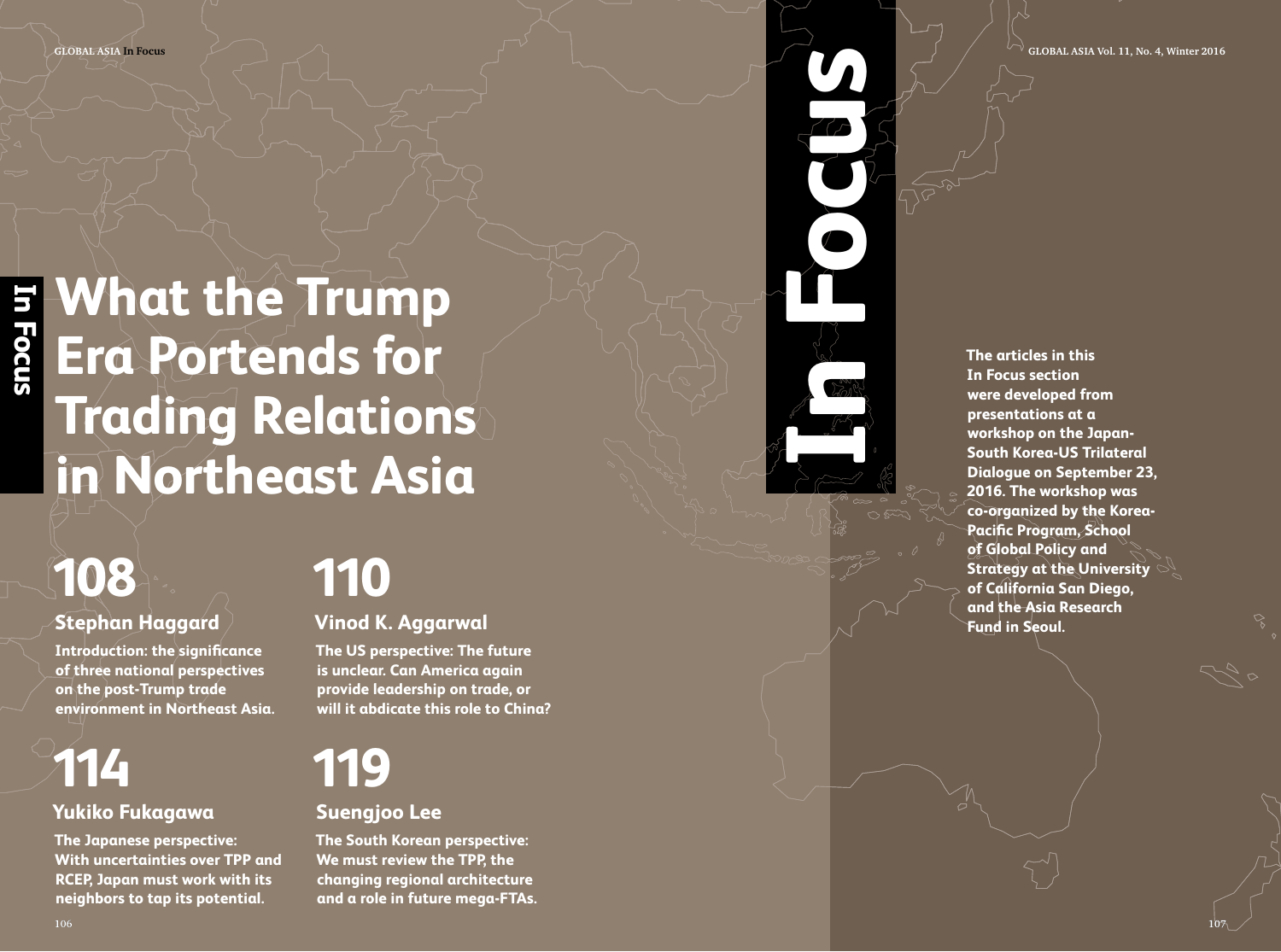**Focus global asia Vol. 11, N o. 4, Winter 2016**

## **What the Trump Era Portends for Trading Relations in Northeast Asia**

# **108**

### **Stephan Haggard**

**Introduction: the significance of three national perspectives on the post-Trump trade environment in Northeast Asia.** 

## **114**

### **Yukiko Fukagawa**

**The Japanese perspective: With uncertainties over TPP and RCEP, Japan must work with its neighbors to tap its potential.**

## **110**

**Vinod K. Aggarwal**

**The US perspective: The future is unclear. Can America again provide leadership on trade, or will it abdicate this role to China?**

## **119**

### **Suengjoo Lee**

**The South Korean perspective: We must review the TPP, the changing regional architecture and a role in future mega-FTAs.** **IN FOCUS CONSULASIA**<br>
The articles in this<br>
In Focus section<br>
We diverse developed from<br>
presentations at a<br>
south Korea-US Tries<br>
South Korea-US Tries **In Focus section were developed from presentations at a workshop on the Japan-South Korea-US Trilateral Dialogue on September 23, 2016. The workshop was co-organized by the Korea-Pacific Program, School of Global Policy and Strategy at the University of California San Diego, and the Asia Research Fund in Seoul.**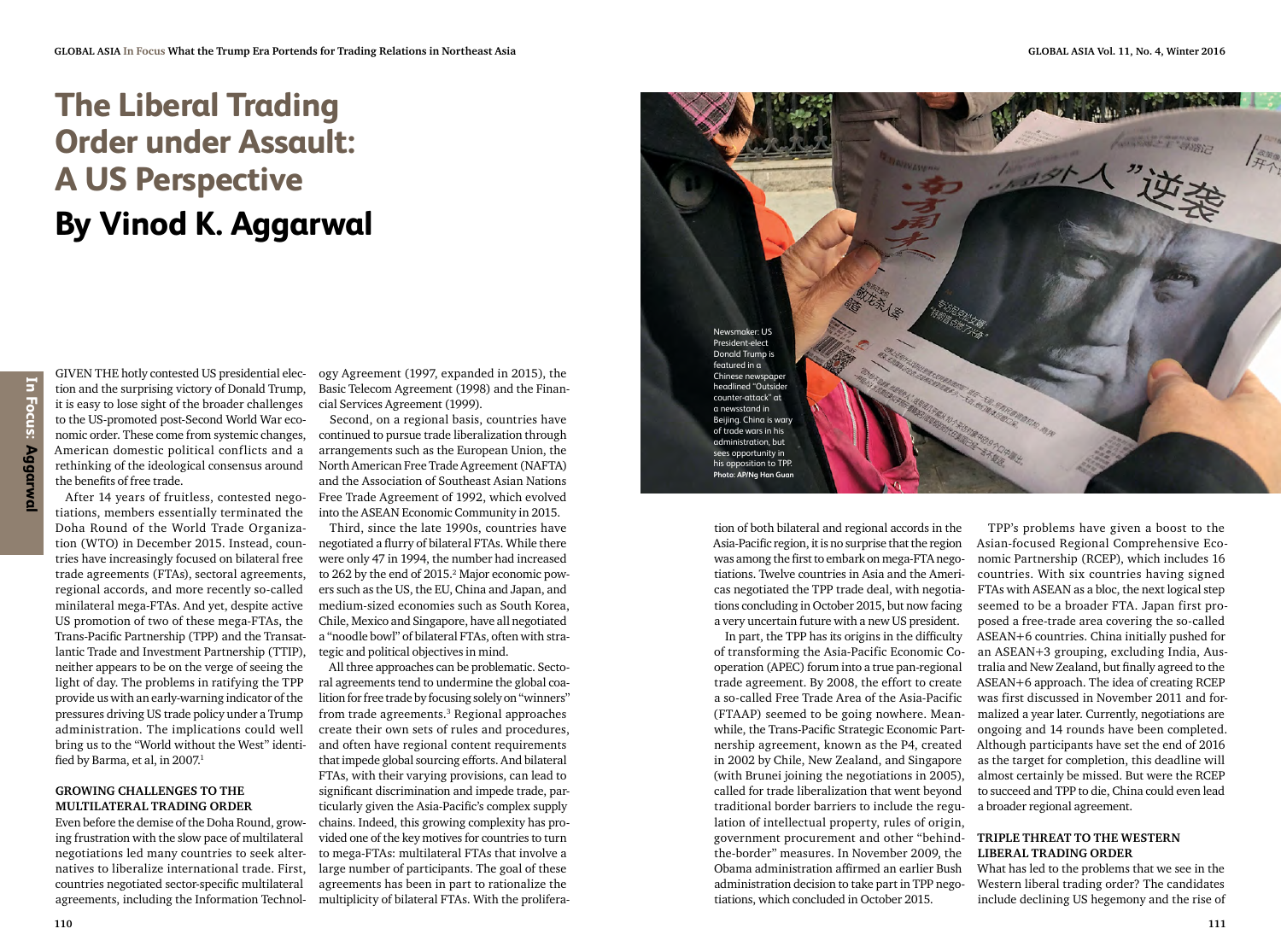### **The Liberal Trading Order under Assault: A US Perspective By Vinod K. Aggarwal**

GIVEN THE hotly contested US presidential election and the surprising victory of Donald Trump, it is easy to lose sight of the broader challenges to the US-promoted post-Second World War economic order. These come from systemic changes, American domestic political conflicts and a rethinking of the ideological consensus around the benefits of free trade.

After 14 years of fruitless, contested negotiations, members essentially terminated the Doha Round of the World Trade Organization (WTO) in December 2015. Instead, countries have increasingly focused on bilateral free trade agreements (FTAs), sectoral agreements, regional accords, and more recently so-called minilateral mega-FTAs. And yet, despite active US promotion of two of these mega-FTAs, the Trans-Pacific Partnership (TPP) and the Transatlantic Trade and Investment Partnership (TTIP), neither appears to be on the verge of seeing the light of day. The problems in ratifying the TPP provide us with an early-warning indicator of the pressures driving US trade policy under a Trump administration. The implications could well bring us to the "World without the West" identified by Barma, et al, in 2007.<sup>1</sup>

#### **growing Challenges to the multilateral trading order**

Even before the demise of the Doha Round, growing frustration with the slow pace of multilateral negotiations led many countries to seek alternatives to liberalize international trade. First, countries negotiated sector-specific multilateral agreements, including the Information Technol-

ogy Agreement (1997, expanded in 2015), the Basic Telecom Agreement (1998) and the Financial Services Agreement (1999).

Second, on a regional basis, countries have continued to pursue trade liberalization through arrangements such as the European Union, the North American Free Trade Agreement (NAFTA) and the Association of Southeast Asian Nations Free Trade Agreement of 1992, which evolved into the ASEAN Economic Community in 2015.

Third, since the late 1990s, countries have negotiated a flurry of bilateral FTAs. While there were only 47 in 1994, the number had increased to 262 by the end of 2015.<sup>2</sup> Major economic powers such as the US, the EU, China and Japan, and medium-sized economies such as South Korea, Chile, Mexico and Singapore, have all negotiated a "noodle bowl" of bilateral FTAs, often with strategic and political objectives in mind.

All three approaches can be problematic. Sectoral agreements tend to undermine the global coalition for free trade by focusing solely on "winners" from trade agreements.3 Regional approaches create their own sets of rules and procedures, and often have regional content requirements that impede global sourcing efforts. And bilateral FTAs, with their varying provisions, can lead to significant discrimination and impede trade, particularly given the Asia-Pacific's complex supply chains. Indeed, this growing complexity has provided one of the key motives for countries to turn to mega-FTAs: multilateral FTAs that involve a large number of participants. The goal of these agreements has been in part to rationalize the multiplicity of bilateral FTAs. With the prolifera-



tion of both bilateral and regional accords in the Asia-Pacific region, it is no surprise that the region was among the first to embark on mega-FTA negotiations. Twelve countries in Asia and the Americas negotiated the TPP trade deal, with negotiations concluding in October 2015, but now facing a very uncertain future with a new US president.

In part, the TPP has its origins in the difficulty of transforming the Asia-Pacific Economic Cooperation (APEC) forum into a true pan-regional trade agreement. By 2008, the effort to create a so-called Free Trade Area of the Asia-Pacific (FTAAP) seemed to be going nowhere. Meanwhile, the Trans-Pacific Strategic Economic Partnership agreement, known as the P4, created in 2002 by Chile, New Zealand, and Singapore (with Brunei joining the negotiations in 2005), called for trade liberalization that went beyond traditional border barriers to include the regulation of intellectual property, rules of origin, government procurement and other "behindthe-border" measures. In November 2009, the Obama administration affirmed an earlier Bush administration decision to take part in TPP negotiations, which concluded in October 2015.

TPP's problems have given a boost to the Asian-focused Regional Comprehensive Economic Partnership (RCEP), which includes 16 countries. With six countries having signed FTAs with ASEAN as a bloc, the next logical step seemed to be a broader FTA. Japan first proposed a free-trade area covering the so-called ASEAN+6 countries. China initially pushed for an ASEAN+3 grouping, excluding India, Australia and New Zealand, but finally agreed to the ASEAN+6 approach. The idea of creating RCEP was first discussed in November 2011 and formalized a year later. Currently, negotiations are ongoing and 14 rounds have been completed. Although participants have set the end of 2016 as the target for completion, this deadline will almost certainly be missed. But were the RCEP to succeed and TPP to die, China could even lead a broader regional agreement.

### **Triple threat to the Western liberal trading order**

What has led to the problems that we see in the Western liberal trading order? The candidates include declining US hegemony and the rise of